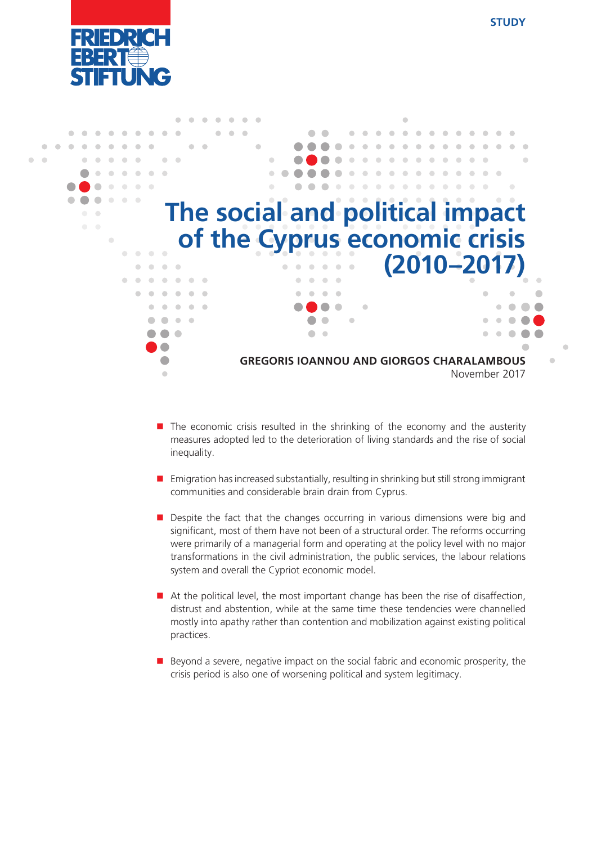



- $\blacksquare$  The economic crisis resulted in the shrinking of the economy and the austerity measures adopted led to the deterioration of living standards and the rise of social inequality.
- $\blacksquare$  Emigration has increased substantially, resulting in shrinking but still strong immigrant communities and considerable brain drain from Cyprus.
- **Despite the fact that the changes occurring in various dimensions were big and** significant, most of them have not been of a structural order. The reforms occurring were primarily of a managerial form and operating at the policy level with no major transformations in the civil administration, the public services, the labour relations system and overall the Cypriot economic model.
- $\blacksquare$  At the political level, the most important change has been the rise of disaffection, distrust and abstention, while at the same time these tendencies were channelled mostly into apathy rather than contention and mobilization against existing political practices.
- $\blacksquare$  Beyond a severe, negative impact on the social fabric and economic prosperity, the crisis period is also one of worsening political and system legitimacy.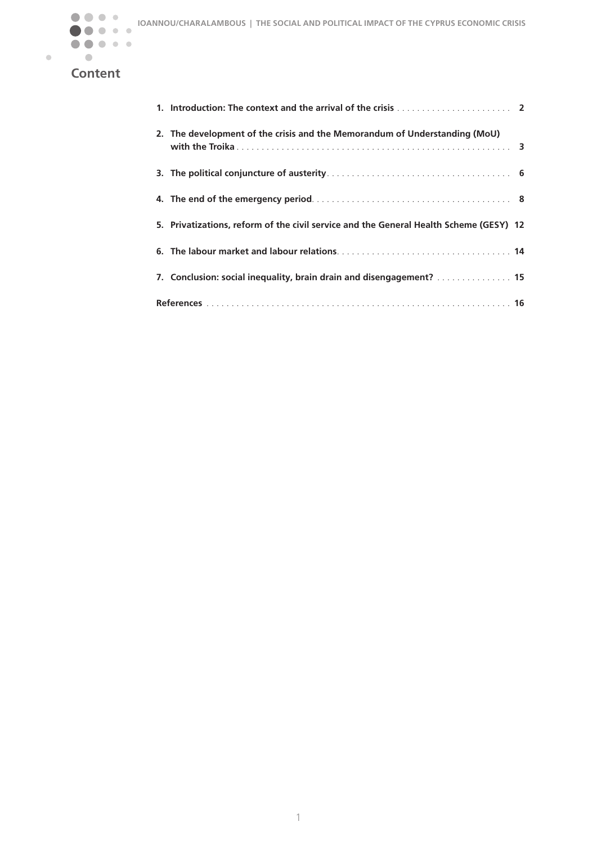

 $\bullet$ 

# **Content**

| 2. The development of the crisis and the Memorandum of Understanding (MoU)             |  |
|----------------------------------------------------------------------------------------|--|
|                                                                                        |  |
|                                                                                        |  |
| 5. Privatizations, reform of the civil service and the General Health Scheme (GESY) 12 |  |
|                                                                                        |  |
| 7. Conclusion: social inequality, brain drain and disengagement?  15                   |  |
|                                                                                        |  |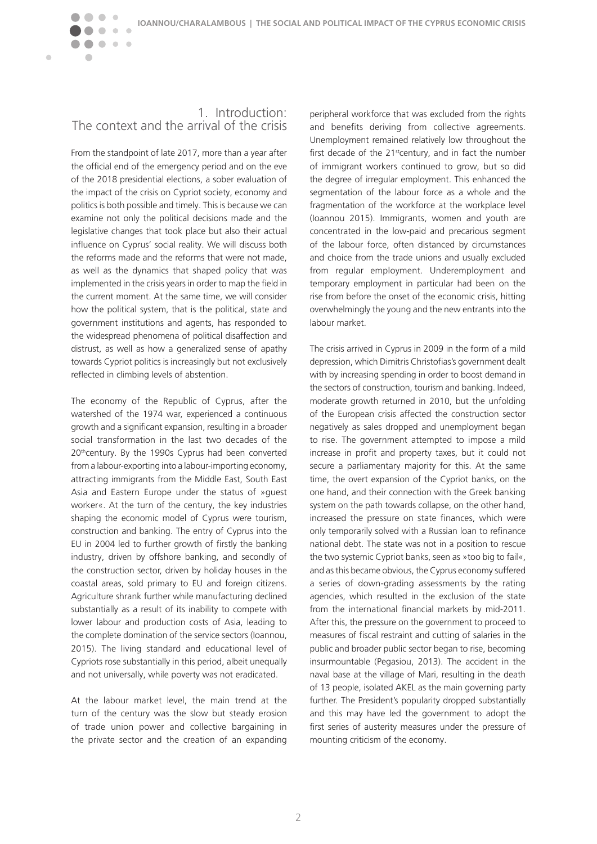#### 1. Introduction: The context and the arrival of the crisis

 $\bullet\bullet\bullet$ 

 $\sqrt{2}$ 

<span id="page-2-0"></span> $\blacksquare$ 

From the standpoint of late 2017, more than a year after the official end of the emergency period and on the eve of the 2018 presidential elections, a sober evaluation of the impact of the crisis on Cypriot society, economy and politics is both possible and timely. This is because we can examine not only the political decisions made and the legislative changes that took place but also their actual influence on Cyprus' social reality. We will discuss both the reforms made and the reforms that were not made, as well as the dynamics that shaped policy that was implemented in the crisis years in order to map the field in the current moment. At the same time, we will consider how the political system, that is the political, state and government institutions and agents, has responded to the widespread phenomena of political disaffection and distrust, as well as how a generalized sense of apathy towards Cypriot politics is increasingly but not exclusively reflected in climbing levels of abstention.

The economy of the Republic of Cyprus, after the watershed of the 1974 war, experienced a continuous growth and a significant expansion, resulting in a broader social transformation in the last two decades of the 20<sup>th</sup>century. By the 1990s Cyprus had been converted from a labour-exporting into a labour-importing economy, attracting immigrants from the Middle East, South East Asia and Eastern Europe under the status of »guest worker«. At the turn of the century, the key industries shaping the economic model of Cyprus were tourism, construction and banking. The entry of Cyprus into the EU in 2004 led to further growth of firstly the banking industry, driven by offshore banking, and secondly of the construction sector, driven by holiday houses in the coastal areas, sold primary to EU and foreign citizens. Agriculture shrank further while manufacturing declined substantially as a result of its inability to compete with lower labour and production costs of Asia, leading to the complete domination of the service sectors (Ioannou, 2015). The living standard and educational level of Cypriots rose substantially in this period, albeit unequally and not universally, while poverty was not eradicated.

At the labour market level, the main trend at the turn of the century was the slow but steady erosion of trade union power and collective bargaining in the private sector and the creation of an expanding

peripheral workforce that was excluded from the rights and benefits deriving from collective agreements. Unemployment remained relatively low throughout the first decade of the 21<sup>st</sup>century, and in fact the number of immigrant workers continued to grow, but so did the degree of irregular employment. This enhanced the segmentation of the labour force as a whole and the fragmentation of the workforce at the workplace level (Ioannou 2015). Immigrants, women and youth are concentrated in the low-paid and precarious segment of the labour force, often distanced by circumstances and choice from the trade unions and usually excluded from regular employment. Underemployment and temporary employment in particular had been on the rise from before the onset of the economic crisis, hitting overwhelmingly the young and the new entrants into the labour market.

The crisis arrived in Cyprus in 2009 in the form of a mild depression, which Dimitris Christofias's government dealt with by increasing spending in order to boost demand in the sectors of construction, tourism and banking. Indeed, moderate growth returned in 2010, but the unfolding of the European crisis affected the construction sector negatively as sales dropped and unemployment began to rise. The government attempted to impose a mild increase in profit and property taxes, but it could not secure a parliamentary majority for this. At the same time, the overt expansion of the Cypriot banks, on the one hand, and their connection with the Greek banking system on the path towards collapse, on the other hand, increased the pressure on state finances, which were only temporarily solved with a Russian loan to refinance national debt. The state was not in a position to rescue the two systemic Cypriot banks, seen as »too big to fail«, and as this became obvious, the Cyprus economy suffered a series of down-grading assessments by the rating agencies, which resulted in the exclusion of the state from the international financial markets by mid-2011. After this, the pressure on the government to proceed to measures of fiscal restraint and cutting of salaries in the public and broader public sector began to rise, becoming insurmountable (Pegasiou, 2013). The accident in the naval base at the village of Mari, resulting in the death of 13 people, isolated AKEL as the main governing party further. The President's popularity dropped substantially and this may have led the government to adopt the first series of austerity measures under the pressure of mounting criticism of the economy.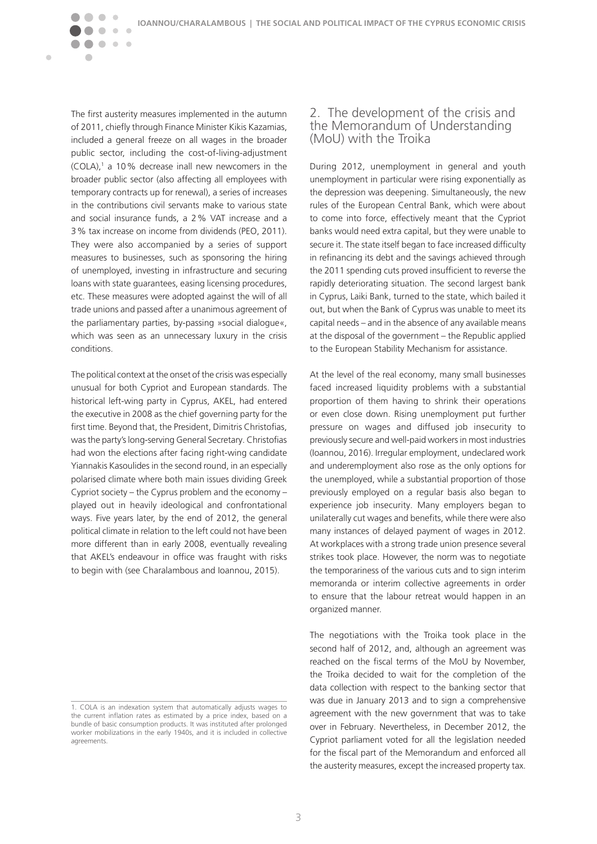The first austerity measures implemented in the autumn of 2011, chiefly through Finance Minister Kikis Kazamias, included a general freeze on all wages in the broader public sector, including the cost-of-living-adjustment  $(COLA)$ ,<sup>1</sup> a 10% decrease inall new newcomers in the broader public sector (also affecting all employees with temporary contracts up for renewal), a series of increases in the contributions civil servants make to various state and social insurance funds, a 2% VAT increase and a 3% tax increase on income from dividends (PEO, 2011). They were also accompanied by a series of support measures to businesses, such as sponsoring the hiring of unemployed, investing in infrastructure and securing loans with state guarantees, easing licensing procedures, etc. These measures were adopted against the will of all trade unions and passed after a unanimous agreement of the parliamentary parties, by-passing »social dialogue«, which was seen as an unnecessary luxury in the crisis conditions.

 $\qquad \qquad \bullet$  $\blacksquare$ 

 $\bullet\hspace{0.1cm} \bullet\hspace{0.1cm}\bullet\hspace{0.1cm} \bullet$ 

 $\sqrt{2}$ 

Ċ

<span id="page-3-0"></span> $\blacksquare$ 

The political context at the onset of the crisis was especially unusual for both Cypriot and European standards. The historical left-wing party in Cyprus, AKEL, had entered the executive in 2008 as the chief governing party for the first time. Beyond that, the President, Dimitris Christofias, was the party's long-serving General Secretary. Christofias had won the elections after facing right-wing candidate Yiannakis Kasoulides in the second round, in an especially polarised climate where both main issues dividing Greek Cypriot society – the Cyprus problem and the economy – played out in heavily ideological and confrontational ways. Five years later, by the end of 2012, the general political climate in relation to the left could not have been more different than in early 2008, eventually revealing that AKEL's endeavour in office was fraught with risks to begin with (see Charalambous and Ioannou, 2015).

#### 2. The development of the crisis and the Memorandum of Understanding (MoU) with the Troika

During 2012, unemployment in general and youth unemployment in particular were rising exponentially as the depression was deepening. Simultaneously, the new rules of the European Central Bank, which were about to come into force, effectively meant that the Cypriot banks would need extra capital, but they were unable to secure it. The state itself began to face increased difficulty in refinancing its debt and the savings achieved through the 2011 spending cuts proved insufficient to reverse the rapidly deteriorating situation. The second largest bank in Cyprus, Laiki Bank, turned to the state, which bailed it out, but when the Bank of Cyprus was unable to meet its capital needs – and in the absence of any available means at the disposal of the government – the Republic applied to the European Stability Mechanism for assistance.

At the level of the real economy, many small businesses faced increased liquidity problems with a substantial proportion of them having to shrink their operations or even close down. Rising unemployment put further pressure on wages and diffused job insecurity to previously secure and well-paid workers in most industries (Ioannou, 2016). Irregular employment, undeclared work and underemployment also rose as the only options for the unemployed, while a substantial proportion of those previously employed on a regular basis also began to experience job insecurity. Many employers began to unilaterally cut wages and benefits, while there were also many instances of delayed payment of wages in 2012. At workplaces with a strong trade union presence several strikes took place. However, the norm was to negotiate the temporariness of the various cuts and to sign interim memoranda or interim collective agreements in order to ensure that the labour retreat would happen in an organized manner.

The negotiations with the Troika took place in the second half of 2012, and, although an agreement was reached on the fiscal terms of the MoU by November, the Troika decided to wait for the completion of the data collection with respect to the banking sector that was due in January 2013 and to sign a comprehensive agreement with the new government that was to take over in February. Nevertheless, in December 2012, the Cypriot parliament voted for all the legislation needed for the fiscal part of the Memorandum and enforced all the austerity measures, except the increased property tax.

<sup>1.</sup> COLA is an indexation system that automatically adjusts wages to the current inflation rates as estimated by a price index, based on a bundle of basic consumption products. It was instituted after prolonged worker mobilizations in the early 1940s, and it is included in collective agreements.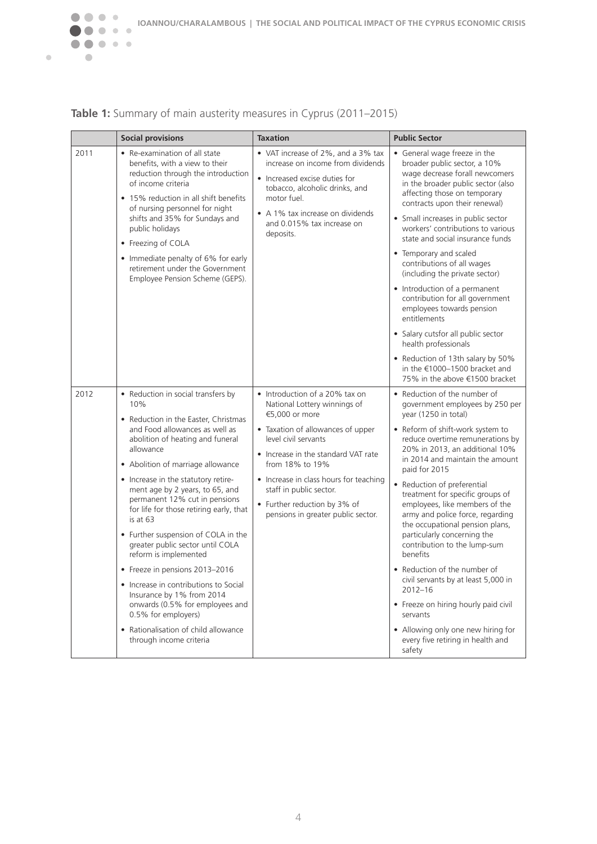

| Table 1: Summary of main austerity measures in Cyprus (2011-2015) |  |  |  |  |  |
|-------------------------------------------------------------------|--|--|--|--|--|
|-------------------------------------------------------------------|--|--|--|--|--|

|      | <b>Social provisions</b>                                                                                                                                                                                                                                                                                                                                                                                                                                                                                                                                                                                                                                                                                             | <b>Taxation</b>                                                                                                                                                                                                                                                                                                                                    | <b>Public Sector</b>                                                                                                                                                                                                                                                                                                                                                                                                                                                                                                                                                                                                                                                                                                                        |
|------|----------------------------------------------------------------------------------------------------------------------------------------------------------------------------------------------------------------------------------------------------------------------------------------------------------------------------------------------------------------------------------------------------------------------------------------------------------------------------------------------------------------------------------------------------------------------------------------------------------------------------------------------------------------------------------------------------------------------|----------------------------------------------------------------------------------------------------------------------------------------------------------------------------------------------------------------------------------------------------------------------------------------------------------------------------------------------------|---------------------------------------------------------------------------------------------------------------------------------------------------------------------------------------------------------------------------------------------------------------------------------------------------------------------------------------------------------------------------------------------------------------------------------------------------------------------------------------------------------------------------------------------------------------------------------------------------------------------------------------------------------------------------------------------------------------------------------------------|
| 2011 | • Re-examination of all state<br>benefits, with a view to their<br>reduction through the introduction<br>of income criteria<br>• 15% reduction in all shift benefits<br>of nursing personnel for night<br>shifts and 35% for Sundays and<br>public holidays<br>• Freezing of COLA<br>• Immediate penalty of 6% for early<br>retirement under the Government<br>Employee Pension Scheme (GEPS).                                                                                                                                                                                                                                                                                                                       | • VAT increase of 2%, and a 3% tax<br>increase on income from dividends<br>• Increased excise duties for<br>tobacco, alcoholic drinks, and<br>motor fuel.<br>• A 1% tax increase on dividends<br>and 0.015% tax increase on<br>deposits.                                                                                                           | • General wage freeze in the<br>broader public sector, a 10%<br>wage decrease forall newcomers<br>in the broader public sector (also<br>affecting those on temporary<br>contracts upon their renewal)<br>• Small increases in public sector<br>workers' contributions to various<br>state and social insurance funds<br>• Temporary and scaled<br>contributions of all wages<br>(including the private sector)<br>• Introduction of a permanent<br>contribution for all government<br>employees towards pension<br>entitlements<br>• Salary cutsfor all public sector<br>health professionals<br>• Reduction of 13th salary by 50%<br>in the $€1000-1500$ bracket and<br>75% in the above €1500 bracket                                     |
| 2012 | • Reduction in social transfers by<br>10%<br>• Reduction in the Easter, Christmas<br>and Food allowances as well as<br>abolition of heating and funeral<br>allowance<br>• Abolition of marriage allowance<br>• Increase in the statutory retire-<br>ment age by 2 years, to 65, and<br>permanent 12% cut in pensions<br>for life for those retiring early, that<br>is at 63<br>• Further suspension of COLA in the<br>greater public sector until COLA<br>reform is implemented<br>• Freeze in pensions 2013-2016<br>• Increase in contributions to Social<br>Insurance by 1% from 2014<br>onwards (0.5% for employees and<br>0.5% for employers)<br>• Rationalisation of child allowance<br>through income criteria | • Introduction of a 20% tax on<br>National Lottery winnings of<br>€5,000 or more<br>• Taxation of allowances of upper<br>level civil servants<br>• Increase in the standard VAT rate<br>from 18% to 19%<br>• Increase in class hours for teaching<br>staff in public sector.<br>• Further reduction by 3% of<br>pensions in greater public sector. | • Reduction of the number of<br>government employees by 250 per<br>year (1250 in total)<br>• Reform of shift-work system to<br>reduce overtime remunerations by<br>20% in 2013, an additional 10%<br>in 2014 and maintain the amount<br>paid for 2015<br>• Reduction of preferential<br>treatment for specific groups of<br>employees, like members of the<br>army and police force, regarding<br>the occupational pension plans,<br>particularly concerning the<br>contribution to the lump-sum<br>benefits<br>• Reduction of the number of<br>civil servants by at least 5,000 in<br>$2012 - 16$<br>• Freeze on hiring hourly paid civil<br>servants<br>• Allowing only one new hiring for<br>every five retiring in health and<br>safety |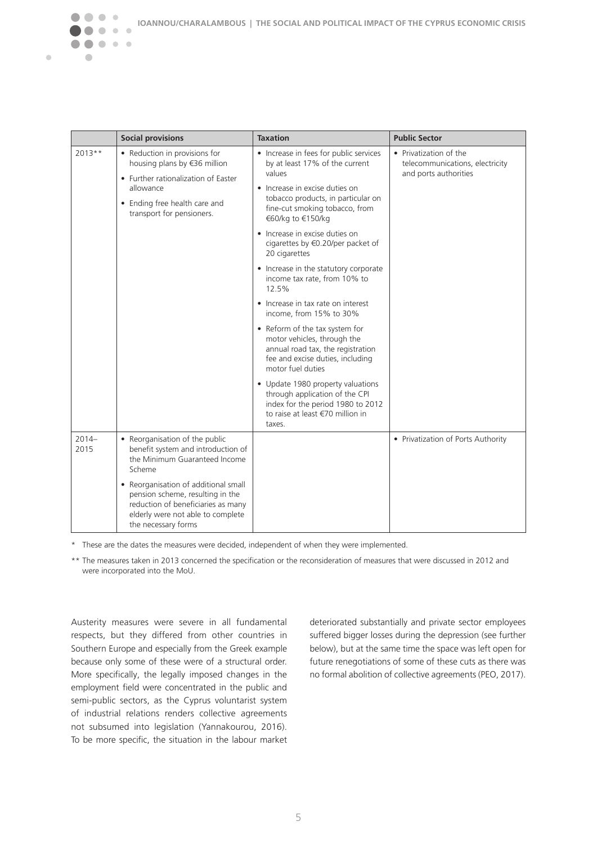|                  | <b>Social provisions</b>                                                                                                                                                        | <b>Taxation</b>                                                                                                                                             | <b>Public Sector</b>                                                               |
|------------------|---------------------------------------------------------------------------------------------------------------------------------------------------------------------------------|-------------------------------------------------------------------------------------------------------------------------------------------------------------|------------------------------------------------------------------------------------|
| $2013**$         | • Reduction in provisions for<br>housing plans by €36 million<br>• Further rationalization of Easter<br>allowance<br>• Ending free health care and<br>transport for pensioners. | • Increase in fees for public services<br>by at least 17% of the current<br>values<br>• Increase in excise duties on                                        | • Privatization of the<br>telecommunications, electricity<br>and ports authorities |
|                  |                                                                                                                                                                                 | tobacco products, in particular on<br>fine-cut smoking tobacco, from<br>€60/kg to €150/kg                                                                   |                                                                                    |
|                  |                                                                                                                                                                                 | • Increase in excise duties on<br>cigarettes by €0.20/per packet of<br>20 cigarettes                                                                        |                                                                                    |
|                  |                                                                                                                                                                                 | • Increase in the statutory corporate<br>income tax rate, from 10% to<br>12.5%                                                                              |                                                                                    |
|                  |                                                                                                                                                                                 | • Increase in tax rate on interest<br>income, from 15% to 30%                                                                                               |                                                                                    |
|                  |                                                                                                                                                                                 | • Reform of the tax system for<br>motor vehicles, through the<br>annual road tax, the registration<br>fee and excise duties, including<br>motor fuel duties |                                                                                    |
|                  |                                                                                                                                                                                 | • Update 1980 property valuations<br>through application of the CPI<br>index for the period 1980 to 2012<br>to raise at least €70 million in<br>taxes.      |                                                                                    |
| $2014 -$<br>2015 | • Reorganisation of the public<br>benefit system and introduction of<br>the Minimum Guaranteed Income<br>Scheme                                                                 |                                                                                                                                                             | • Privatization of Ports Authority                                                 |
|                  | • Reorganisation of additional small<br>pension scheme, resulting in the<br>reduction of beneficiaries as many<br>elderly were not able to complete<br>the necessary forms      |                                                                                                                                                             |                                                                                    |

\* These are the dates the measures were decided, independent of when they were implemented.

\*\* The measures taken in 2013 concerned the specification or the reconsideration of measures that were discussed in 2012 and were incorporated into the MoU.

Austerity measures were severe in all fundamental respects, but they differed from other countries in Southern Europe and especially from the Greek example because only some of these were of a structural order. More specifically, the legally imposed changes in the employment field were concentrated in the public and semi-public sectors, as the Cyprus voluntarist system of industrial relations renders collective agreements not subsumed into legislation (Yannakourou, 2016). To be more specific, the situation in the labour market

 $\bullet\bullet$ 

 $\bullet\hspace{0.4mm}\bullet\hspace{0.4mm}\bullet\hspace{0.4mm}\bullet$ 

◠  $\sqrt{2}$ 

 $\triangle$ 

 $\blacksquare$ 

deteriorated substantially and private sector employees suffered bigger losses during the depression (see further below), but at the same time the space was left open for future renegotiations of some of these cuts as there was no formal abolition of collective agreements (PEO, 2017).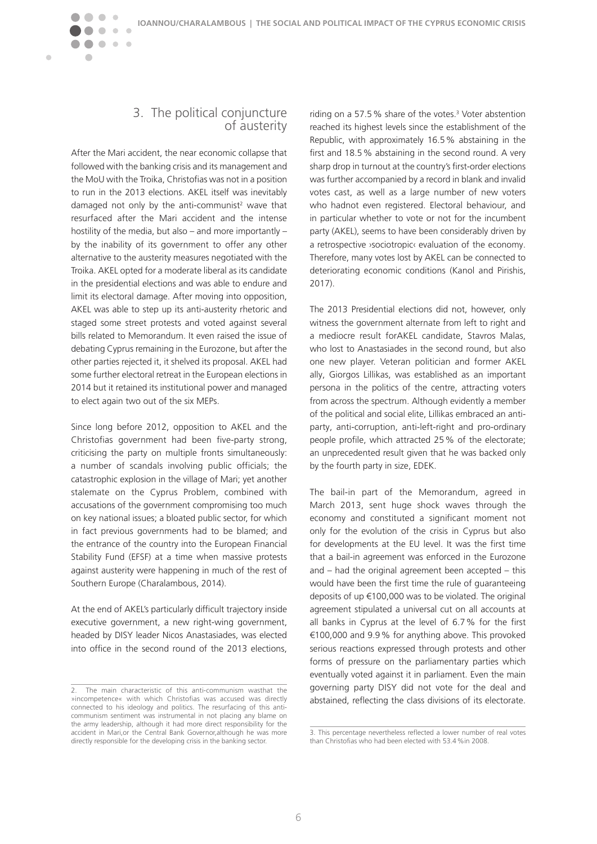#### 3. The political conjuncture of austerity

 $\bigcirc$  $\blacksquare$ 

 $\bullet\hspace{0.1cm} \bullet\hspace{0.1cm}\bullet\hspace{0.1cm} \bullet$ 

 $\sqrt{2}$ 

 $\sqrt{2}$ 

<span id="page-6-0"></span> $\blacksquare$ 

After the Mari accident, the near economic collapse that followed with the banking crisis and its management and the MoU with the Troika, Christofias was not in a position to run in the 2013 elections. AKEL itself was inevitably damaged not only by the anti-communist<sup>2</sup> wave that resurfaced after the Mari accident and the intense hostility of the media, but also – and more importantly – by the inability of its government to offer any other alternative to the austerity measures negotiated with the Troika. AKEL opted for a moderate liberal as its candidate in the presidential elections and was able to endure and limit its electoral damage. After moving into opposition, AKEL was able to step up its anti-austerity rhetoric and staged some street protests and voted against several bills related to Memorandum. It even raised the issue of debating Cyprus remaining in the Eurozone, but after the other parties rejected it, it shelved its proposal. AKEL had some further electoral retreat in the European elections in 2014 but it retained its institutional power and managed to elect again two out of the six MEPs.

Since long before 2012, opposition to AKEL and the Christofias government had been five-party strong, criticising the party on multiple fronts simultaneously: a number of scandals involving public officials; the catastrophic explosion in the village of Mari; yet another stalemate on the Cyprus Problem, combined with accusations of the government compromising too much on key national issues; a bloated public sector, for which in fact previous governments had to be blamed; and the entrance of the country into the European Financial Stability Fund (EFSF) at a time when massive protests against austerity were happening in much of the rest of Southern Europe (Charalambous, 2014).

At the end of AKEL's particularly difficult trajectory inside executive government, a new right-wing government, headed by DISY leader Nicos Anastasiades, was elected into office in the second round of the 2013 elections,

riding on a 57.5% share of the votes. $3$  Voter abstention reached its highest levels since the establishment of the Republic, with approximately 16.5% abstaining in the first and 18.5% abstaining in the second round. A very sharp drop in turnout at the country's first-order elections was further accompanied by a record in blank and invalid votes cast, as well as a large number of new voters who hadnot even registered. Electoral behaviour, and in particular whether to vote or not for the incumbent party (AKEL), seems to have been considerably driven by a retrospective ›sociotropic‹ evaluation of the economy. Therefore, many votes lost by AKEL can be connected to deteriorating economic conditions (Kanol and Pirishis, 2017).

The 2013 Presidential elections did not, however, only witness the government alternate from left to right and a mediocre result forAKEL candidate, Stavros Malas, who lost to Anastasiades in the second round, but also one new player. Veteran politician and former AKEL ally, Giorgos Lillikas, was established as an important persona in the politics of the centre, attracting voters from across the spectrum. Although evidently a member of the political and social elite, Lillikas embraced an antiparty, anti-corruption, anti-left-right and pro-ordinary people profile, which attracted 25% of the electorate; an unprecedented result given that he was backed only by the fourth party in size, EDEK.

The bail-in part of the Memorandum, agreed in March 2013, sent huge shock waves through the economy and constituted a significant moment not only for the evolution of the crisis in Cyprus but also for developments at the EU level. It was the first time that a bail-in agreement was enforced in the Eurozone and – had the original agreement been accepted – this would have been the first time the rule of guaranteeing deposits of up €100,000 was to be violated. The original agreement stipulated a universal cut on all accounts at all banks in Cyprus at the level of 6.7% for the first €100,000 and 9.9% for anything above. This provoked serious reactions expressed through protests and other forms of pressure on the parliamentary parties which eventually voted against it in parliament. Even the main governing party DISY did not vote for the deal and abstained, reflecting the class divisions of its electorate.

<sup>2.</sup> The main characteristic of this anti-communism wasthat the »incompetence« with which Christofias was accused was directly connected to his ideology and politics. The resurfacing of this anticommunism sentiment was instrumental in not placing any blame on the army leadership, although it had more direct responsibility for the accident in Mari,or the Central Bank Governor,although he was more directly responsible for the developing crisis in the banking sector.

<sup>3.</sup> This percentage nevertheless reflected a lower number of real votes than Christofias who had been elected with 53.4%in 2008.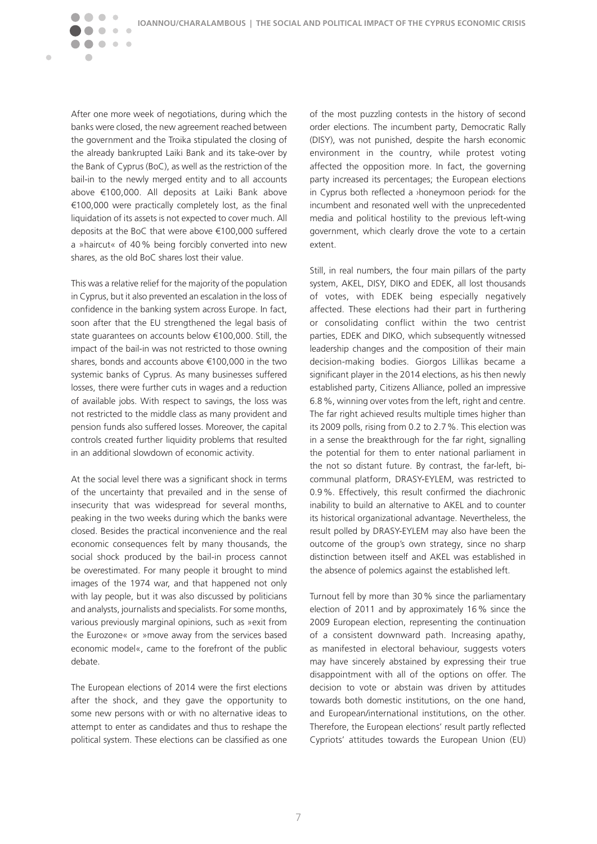After one more week of negotiations, during which the banks were closed, the new agreement reached between the government and the Troika stipulated the closing of the already bankrupted Laiki Bank and its take-over by the Bank of Cyprus (BoC), as well as the restriction of the bail-in to the newly merged entity and to all accounts above €100,000. All deposits at Laiki Bank above €100,000 were practically completely lost, as the final liquidation of its assets is not expected to cover much. All deposits at the BoC that were above €100,000 suffered a »haircut« of 40% being forcibly converted into new shares, as the old BoC shares lost their value.

 $\bullet\bullet$ 

 $\bullet\bullet\bullet$ 

 $\blacksquare$  $\sqrt{2}$ 

 $\blacksquare$ 

 $\sim$ 

This was a relative relief for the majority of the population in Cyprus, but it also prevented an escalation in the loss of confidence in the banking system across Europe. In fact, soon after that the EU strengthened the legal basis of state guarantees on accounts below €100,000. Still, the impact of the bail-in was not restricted to those owning shares, bonds and accounts above €100,000 in the two systemic banks of Cyprus. As many businesses suffered losses, there were further cuts in wages and a reduction of available jobs. With respect to savings, the loss was not restricted to the middle class as many provident and pension funds also suffered losses. Moreover, the capital controls created further liquidity problems that resulted in an additional slowdown of economic activity.

At the social level there was a significant shock in terms of the uncertainty that prevailed and in the sense of insecurity that was widespread for several months, peaking in the two weeks during which the banks were closed. Besides the practical inconvenience and the real economic consequences felt by many thousands, the social shock produced by the bail-in process cannot be overestimated. For many people it brought to mind images of the 1974 war, and that happened not only with lay people, but it was also discussed by politicians and analysts, journalists and specialists. For some months, various previously marginal opinions, such as »exit from the Eurozone« or »move away from the services based economic model«, came to the forefront of the public debate.

The European elections of 2014 were the first elections after the shock, and they gave the opportunity to some new persons with or with no alternative ideas to attempt to enter as candidates and thus to reshape the political system. These elections can be classified as one of the most puzzling contests in the history of second order elections. The incumbent party, Democratic Rally (DISY), was not punished, despite the harsh economic environment in the country, while protest voting affected the opposition more. In fact, the governing party increased its percentages; the European elections in Cyprus both reflected a ›honeymoon period‹ for the incumbent and resonated well with the unprecedented media and political hostility to the previous left-wing government, which clearly drove the vote to a certain extent.

Still, in real numbers, the four main pillars of the party system, AKEL, DISY, DIKO and EDEK, all lost thousands of votes, with EDEK being especially negatively affected. These elections had their part in furthering or consolidating conflict within the two centrist parties, EDEK and DIKO, which subsequently witnessed leadership changes and the composition of their main decision-making bodies. Giorgos Lillikas became a significant player in the 2014 elections, as his then newly established party, Citizens Alliance, polled an impressive 6.8%, winning over votes from the left, right and centre. The far right achieved results multiple times higher than its 2009 polls, rising from 0.2 to 2.7%. This election was in a sense the breakthrough for the far right, signalling the potential for them to enter national parliament in the not so distant future. By contrast, the far-left, bicommunal platform, DRASY-EYLEM, was restricted to 0.9%. Effectively, this result confirmed the diachronic inability to build an alternative to AKEL and to counter its historical organizational advantage. Nevertheless, the result polled by DRASY-EYLEM may also have been the outcome of the group's own strategy, since no sharp distinction between itself and AKEL was established in the absence of polemics against the established left.

Turnout fell by more than 30% since the parliamentary election of 2011 and by approximately 16% since the 2009 European election, representing the continuation of a consistent downward path. Increasing apathy, as manifested in electoral behaviour, suggests voters may have sincerely abstained by expressing their true disappointment with all of the options on offer. The decision to vote or abstain was driven by attitudes towards both domestic institutions, on the one hand, and European/international institutions, on the other. Therefore, the European elections' result partly reflected Cypriots' attitudes towards the European Union (EU)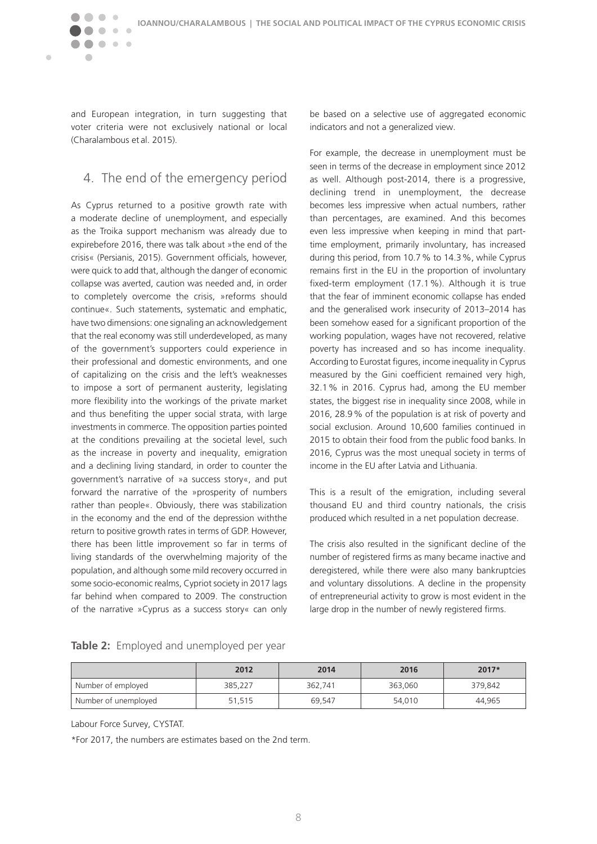and European integration, in turn suggesting that voter criteria were not exclusively national or local (Charalambous et al. 2015).

 $\bullet\quad \bullet\quad \bullet$ 

 $\sqrt{2}$ 

<span id="page-8-0"></span> $\blacksquare$ 

## 4. The end of the emergency period

As Cyprus returned to a positive growth rate with a moderate decline of unemployment, and especially as the Troika support mechanism was already due to expirebefore 2016, there was talk about »the end of the crisis« (Persianis, 2015). Government officials, however, were quick to add that, although the danger of economic collapse was averted, caution was needed and, in order to completely overcome the crisis, »reforms should continue«. Such statements, systematic and emphatic, have two dimensions: one signaling an acknowledgement that the real economy was still underdeveloped, as many of the government's supporters could experience in their professional and domestic environments, and one of capitalizing on the crisis and the left's weaknesses to impose a sort of permanent austerity, legislating more flexibility into the workings of the private market and thus benefiting the upper social strata, with large investments in commerce. The opposition parties pointed at the conditions prevailing at the societal level, such as the increase in poverty and inequality, emigration and a declining living standard, in order to counter the government's narrative of »a success story«, and put forward the narrative of the »prosperity of numbers rather than people«. Obviously, there was stabilization in the economy and the end of the depression withthe return to positive growth rates in terms of GDP. However, there has been little improvement so far in terms of living standards of the overwhelming majority of the population, and although some mild recovery occurred in some socio-economic realms, Cypriot society in 2017 lags far behind when compared to 2009. The construction of the narrative »Cyprus as a success story« can only be based on a selective use of aggregated economic indicators and not a generalized view.

For example, the decrease in unemployment must be seen in terms of the decrease in employment since 2012 as well. Although post-2014, there is a progressive, declining trend in unemployment, the decrease becomes less impressive when actual numbers, rather than percentages, are examined. And this becomes even less impressive when keeping in mind that parttime employment, primarily involuntary, has increased during this period, from 10.7% to 14.3%, while Cyprus remains first in the EU in the proportion of involuntary fixed-term employment (17.1%). Although it is true that the fear of imminent economic collapse has ended and the generalised work insecurity of 2013–2014 has been somehow eased for a significant proportion of the working population, wages have not recovered, relative poverty has increased and so has income inequality. According to Eurostat figures, income inequality in Cyprus measured by the Gini coefficient remained very high, 32.1% in 2016. Cyprus had, among the EU member states, the biggest rise in inequality since 2008, while in 2016, 28.9% of the population is at risk of poverty and social exclusion. Around 10,600 families continued in 2015 to obtain their food from the public food banks. In 2016, Cyprus was the most unequal society in terms of income in the EU after Latvia and Lithuania.

This is a result of the emigration, including several thousand EU and third country nationals, the crisis produced which resulted in a net population decrease.

The crisis also resulted in the significant decline of the number of registered firms as many became inactive and deregistered, while there were also many bankruptcies and voluntary dissolutions. A decline in the propensity of entrepreneurial activity to grow is most evident in the large drop in the number of newly registered firms.

|  |  |  | Table 2: Employed and unemployed per year |  |
|--|--|--|-------------------------------------------|--|
|--|--|--|-------------------------------------------|--|

|                      | 2012    | 2014    | 2016    | $2017*$ |
|----------------------|---------|---------|---------|---------|
| Number of employed   | 385,227 | 362,741 | 363,060 | 379,842 |
| Number of unemployed | 51,515  | 69.547  | 54,010  | 44,965  |

Labour Force Survey, CYSTAT.

\*For 2017, the numbers are estimates based on the 2nd term.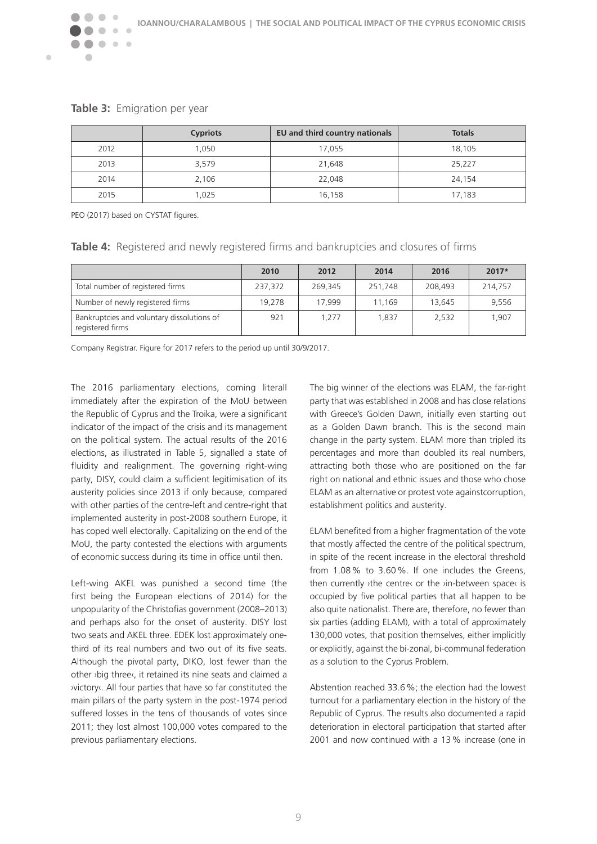

|  | Table 3: Emigration per year |  |
|--|------------------------------|--|
|--|------------------------------|--|

 $\overline{\phantom{a}}$ 

 $\blacksquare$ 

|      | <b>Cypriots</b> | EU and third country nationals | <b>Totals</b> |
|------|-----------------|--------------------------------|---------------|
| 2012 | 1.050           | 17,055                         | 18,105        |
| 2013 | 3,579           | 21,648                         | 25,227        |
| 2014 | 2,106           | 22,048                         | 24,154        |
| 2015 | 1,025           | 16,158                         | 17,183        |

PEO (2017) based on CYSTAT figures.

**Table 4:** Registered and newly registered firms and bankruptcies and closures of firms

|                                                                | 2010    | 2012    | 2014    | 2016    | $2017*$ |
|----------------------------------------------------------------|---------|---------|---------|---------|---------|
| Total number of registered firms                               | 237,372 | 269,345 | 251,748 | 208,493 | 214,757 |
| Number of newly registered firms                               | 19,278  | 17.999  | 11.169  | 13.645  | 9,556   |
| Bankruptcies and voluntary dissolutions of<br>registered firms | 921     | 1.277   | 1.837   | 2,532   | 1.907   |

Company Registrar. Figure for 2017 refers to the period up until 30/9/2017.

The 2016 parliamentary elections, coming literall immediately after the expiration of the MoU between the Republic of Cyprus and the Troika, were a significant indicator of the impact of the crisis and its management on the political system. The actual results of the 2016 elections, as illustrated in Table 5, signalled a state of fluidity and realignment. The governing right-wing party, DISY, could claim a sufficient legitimisation of its austerity policies since 2013 if only because, compared with other parties of the centre-left and centre-right that implemented austerity in post-2008 southern Europe, it has coped well electorally. Capitalizing on the end of the MoU, the party contested the elections with arguments of economic success during its time in office until then.

Left-wing AKEL was punished a second time (the first being the European elections of 2014) for the unpopularity of the Christofias government (2008–2013) and perhaps also for the onset of austerity. DISY lost two seats and AKEL three. EDEK lost approximately onethird of its real numbers and two out of its five seats. Although the pivotal party, DIKO, lost fewer than the other ›big three‹, it retained its nine seats and claimed a ›victory‹. All four parties that have so far constituted the main pillars of the party system in the post-1974 period suffered losses in the tens of thousands of votes since 2011; they lost almost 100,000 votes compared to the previous parliamentary elections.

The big winner of the elections was ELAM, the far-right party that was established in 2008 and has close relations with Greece's Golden Dawn, initially even starting out as a Golden Dawn branch. This is the second main change in the party system. ELAM more than tripled its percentages and more than doubled its real numbers, attracting both those who are positioned on the far right on national and ethnic issues and those who chose ELAM as an alternative or protest vote againstcorruption, establishment politics and austerity.

ELAM benefited from a higher fragmentation of the vote that mostly affected the centre of the political spectrum, in spite of the recent increase in the electoral threshold from 1.08% to 3.60%. If one includes the Greens, then currently ›the centre‹ or the ›in-between space‹ is occupied by five political parties that all happen to be also quite nationalist. There are, therefore, no fewer than six parties (adding ELAM), with a total of approximately 130,000 votes, that position themselves, either implicitly or explicitly, against the bi-zonal, bi-communal federation as a solution to the Cyprus Problem.

Abstention reached 33.6%; the election had the lowest turnout for a parliamentary election in the history of the Republic of Cyprus. The results also documented a rapid deterioration in electoral participation that started after 2001 and now continued with a 13% increase (one in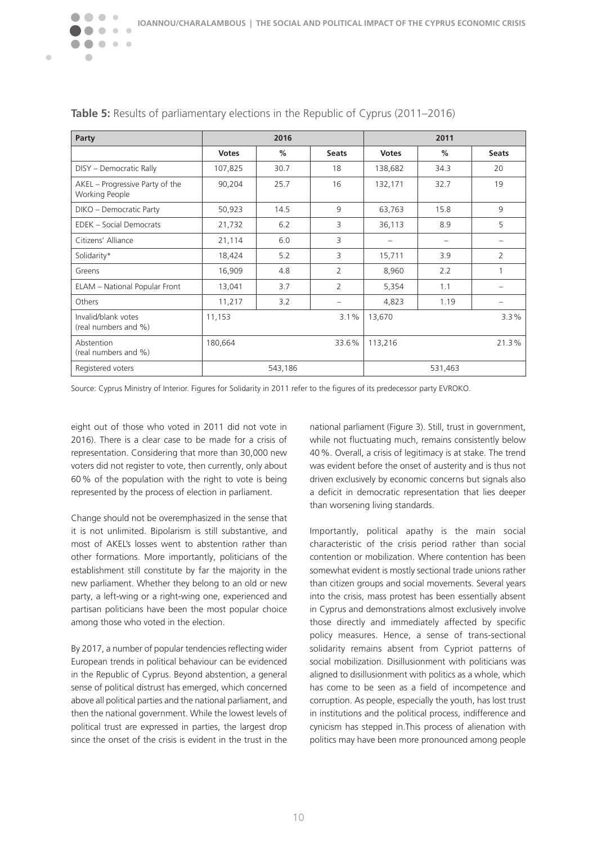| Party                                             | 2016             |      | 2011                     |                          |       |              |
|---------------------------------------------------|------------------|------|--------------------------|--------------------------|-------|--------------|
|                                                   | <b>Votes</b>     | $\%$ | <b>Seats</b>             | <b>Votes</b>             | %     | <b>Seats</b> |
| DISY - Democratic Rally                           | 107,825          | 30.7 | 18                       | 138,682                  | 34.3  | 20           |
| AKEL - Progressive Party of the<br>Working People | 90,204           | 25.7 | 16                       | 132,171                  | 32.7  | 19           |
| DIKO - Democratic Party                           | 50,923           | 14.5 | 9                        | 63,763                   | 15.8  | 9            |
| EDEK - Social Democrats                           | 21,732           | 6.2  | 3                        | 36,113                   | 8.9   | 5            |
| Citizens' Alliance                                | 21,114           | 6.0  | 3                        | $\overline{\phantom{0}}$ |       |              |
| Solidarity*                                       | 18,424           | 5.2  | 3                        | 15,711                   | 3.9   | 2            |
| Greens                                            | 16,909           | 4.8  | 2                        | 8,960                    | 2.2   |              |
| ELAM - National Popular Front                     | 13,041           | 3.7  | $\overline{2}$           | 5,354                    | 1.1   |              |
| Others                                            | 11,217           | 3.2  | $\overline{\phantom{0}}$ | 4,823                    | 1.19  |              |
| Invalid/blank votes<br>(real numbers and %)       | 11,153           |      | 3.1%                     | 13,670                   |       | 3.3%         |
| Abstention<br>(real numbers and %)                | 180,664<br>33.6% |      | 113,216                  |                          | 21.3% |              |
| Registered voters                                 | 543,186          |      |                          | 531,463                  |       |              |

#### **Table 5:** Results of parliamentary elections in the Republic of Cyprus (2011–2016)

Source: Cyprus Ministry of Interior. Figures for Solidarity in 2011 refer to the figures of its predecessor party EVROKO.

eight out of those who voted in 2011 did not vote in 2016). There is a clear case to be made for a crisis of representation. Considering that more than 30,000 new voters did not register to vote, then currently, only about 60% of the population with the right to vote is being represented by the process of election in parliament.

 $\bullet\bullet\bullet$ 

 $\triangle$ 

 $\blacksquare$ 

Change should not be overemphasized in the sense that it is not unlimited. Bipolarism is still substantive, and most of AKEL's losses went to abstention rather than other formations. More importantly, politicians of the establishment still constitute by far the majority in the new parliament. Whether they belong to an old or new party, a left-wing or a right-wing one, experienced and partisan politicians have been the most popular choice among those who voted in the election.

By 2017, a number of popular tendencies reflecting wider European trends in political behaviour can be evidenced in the Republic of Cyprus. Beyond abstention, a general sense of political distrust has emerged, which concerned above all political parties and the national parliament, and then the national government. While the lowest levels of political trust are expressed in parties, the largest drop since the onset of the crisis is evident in the trust in the

national parliament (Figure 3). Still, trust in government, while not fluctuating much, remains consistently below 40%. Overall, a crisis of legitimacy is at stake. The trend was evident before the onset of austerity and is thus not driven exclusively by economic concerns but signals also a deficit in democratic representation that lies deeper than worsening living standards.

Importantly, political apathy is the main social characteristic of the crisis period rather than social contention or mobilization. Where contention has been somewhat evident is mostly sectional trade unions rather than citizen groups and social movements. Several years into the crisis, mass protest has been essentially absent in Cyprus and demonstrations almost exclusively involve those directly and immediately affected by specific policy measures. Hence, a sense of trans-sectional solidarity remains absent from Cypriot patterns of social mobilization. Disillusionment with politicians was aligned to disillusionment with politics as a whole, which has come to be seen as a field of incompetence and corruption. As people, especially the youth, has lost trust in institutions and the political process, indifference and cynicism has stepped in.This process of alienation with politics may have been more pronounced among people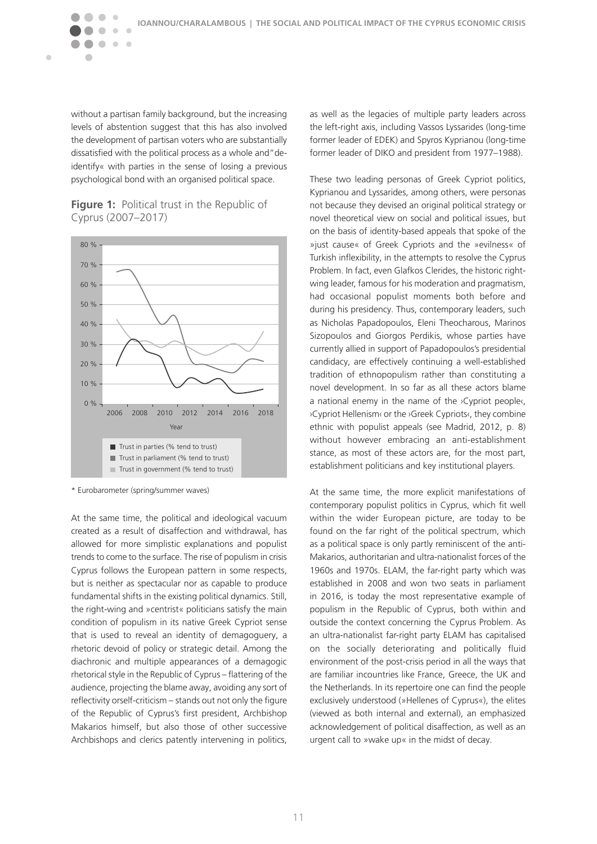without a partisan family background, but the increasing levels of abstention suggest that this has also involved the development of partisan voters who are substantially dissatisfied with the political process as a whole and"deidentify« with parties in the sense of losing a previous psychological bond with an organised political space.

 $\sim$  $\sim$ 

 $\blacksquare$ 

#### **Figure 1:** Political trust in the Republic of Cyprus (2007–2017)



\* Eurobarometer (spring/summer waves)

At the same time, the political and ideological vacuum created as a result of disaffection and withdrawal, has allowed for more simplistic explanations and populist trends to come to the surface. The rise of populism in crisis Cyprus follows the European pattern in some respects, but is neither as spectacular nor as capable to produce fundamental shifts in the existing political dynamics. Still, the right-wing and »centrist« politicians satisfy the main condition of populism in its native Greek Cypriot sense that is used to reveal an identity of demagoguery, a rhetoric devoid of policy or strategic detail. Among the diachronic and multiple appearances of a demagogic rhetorical style in the Republic of Cyprus – flattering of the audience, projecting the blame away, avoiding any sort of reflectivity orself-criticism – stands out not only the figure of the Republic of Cyprus's first president, Archbishop Makarios himself, but also those of other successive Archbishops and clerics patently intervening in politics, as well as the legacies of multiple party leaders across the left-right axis, including Vassos Lyssarides (long-time former leader of EDEK) and Spyros Kyprianou (long-time former leader of DIKO and president from 1977–1988).

These two leading personas of Greek Cypriot politics, Kyprianou and Lyssarides, among others, were personas not because they devised an original political strategy or novel theoretical view on social and political issues, but on the basis of identity-based appeals that spoke of the »just cause« of Greek Cypriots and the »evilness« of Turkish inflexibility, in the attempts to resolve the Cyprus Problem. In fact, even Glafkos Clerides, the historic rightwing leader, famous for his moderation and pragmatism, had occasional populist moments both before and during his presidency. Thus, contemporary leaders, such as Nicholas Papadopoulos, Eleni Theocharous, Marinos Sizopoulos and Giorgos Perdikis, whose parties have currently allied in support of Papadopoulos's presidential candidacy, are effectively continuing a well-established tradition of ethnopopulism rather than constituting a novel development. In so far as all these actors blame a national enemy in the name of the *>Cypriot people*, ›Cypriot Hellenism‹ or the ›Greek Cypriots‹, they combine ethnic with populist appeals (see Madrid, 2012, p. 8) without however embracing an anti-establishment stance, as most of these actors are, for the most part, establishment politicians and key institutional players.

At the same time, the more explicit manifestations of contemporary populist politics in Cyprus, which fit well within the wider European picture, are today to be found on the far right of the political spectrum, which as a political space is only partly reminiscent of the anti-Makarios, authoritarian and ultra-nationalist forces of the 1960s and 1970s. ELAM, the far-right party which was established in 2008 and won two seats in parliament in 2016, is today the most representative example of populism in the Republic of Cyprus, both within and outside the context concerning the Cyprus Problem. As an ultra-nationalist far-right party ELAM has capitalised on the socially deteriorating and politically fluid environment of the post-crisis period in all the ways that are familiar incountries like France, Greece, the UK and the Netherlands. In its repertoire one can find the people exclusively understood (»Hellenes of Cyprus«), the elites (viewed as both internal and external), an emphasized acknowledgement of political disaffection, as well as an urgent call to »wake up« in the midst of decay.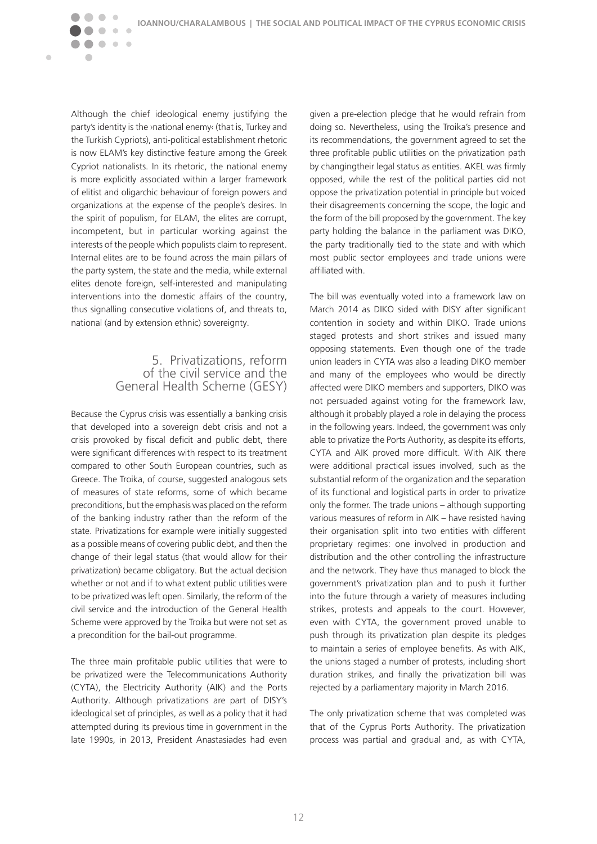Although the chief ideological enemy justifying the party's identity is the ›national enemy‹ (that is, Turkey and the Turkish Cypriots), anti-political establishment rhetoric is now ELAM's key distinctive feature among the Greek Cypriot nationalists. In its rhetoric, the national enemy is more explicitly associated within a larger framework of elitist and oligarchic behaviour of foreign powers and organizations at the expense of the people's desires. In the spirit of populism, for ELAM, the elites are corrupt, incompetent, but in particular working against the interests of the people which populists claim to represent. Internal elites are to be found across the main pillars of the party system, the state and the media, while external elites denote foreign, self-interested and manipulating interventions into the domestic affairs of the country, thus signalling consecutive violations of, and threats to, national (and by extension ethnic) sovereignty.

 $\bullet\quad \bullet\quad \bullet$ 

 $\overline{\phantom{a}}$ 

<span id="page-12-0"></span> $\blacksquare$ 

#### 5. Privatizations, reform of the civil service and the General Health Scheme (GESY)

Because the Cyprus crisis was essentially a banking crisis that developed into a sovereign debt crisis and not a crisis provoked by fiscal deficit and public debt, there were significant differences with respect to its treatment compared to other South European countries, such as Greece. The Troika, of course, suggested analogous sets of measures of state reforms, some of which became preconditions, but the emphasis was placed on the reform of the banking industry rather than the reform of the state. Privatizations for example were initially suggested as a possible means of covering public debt, and then the change of their legal status (that would allow for their privatization) became obligatory. But the actual decision whether or not and if to what extent public utilities were to be privatized was left open. Similarly, the reform of the civil service and the introduction of the General Health Scheme were approved by the Troika but were not set as a precondition for the bail-out programme.

The three main profitable public utilities that were to be privatized were the Telecommunications Authority (CYTA), the Electricity Authority (AIK) and the Ports Authority. Although privatizations are part of DISY's ideological set of principles, as well as a policy that it had attempted during its previous time in government in the late 1990s, in 2013, President Anastasiades had even given a pre-election pledge that he would refrain from doing so. Nevertheless, using the Troika's presence and its recommendations, the government agreed to set the three profitable public utilities on the privatization path by changingtheir legal status as entities. AKEL was firmly opposed, while the rest of the political parties did not oppose the privatization potential in principle but voiced their disagreements concerning the scope, the logic and the form of the bill proposed by the government. The key party holding the balance in the parliament was DIKO, the party traditionally tied to the state and with which most public sector employees and trade unions were affiliated with.

The bill was eventually voted into a framework law on March 2014 as DIKO sided with DISY after significant contention in society and within DIKO. Trade unions staged protests and short strikes and issued many opposing statements. Even though one of the trade union leaders in CYTA was also a leading DIKO member and many of the employees who would be directly affected were DIKO members and supporters, DIKO was not persuaded against voting for the framework law, although it probably played a role in delaying the process in the following years. Indeed, the government was only able to privatize the Ports Authority, as despite its efforts, CYTA and AIK proved more difficult. With AIK there were additional practical issues involved, such as the substantial reform of the organization and the separation of its functional and logistical parts in order to privatize only the former. The trade unions – although supporting various measures of reform in AIK – have resisted having their organisation split into two entities with different proprietary regimes: one involved in production and distribution and the other controlling the infrastructure and the network. They have thus managed to block the government's privatization plan and to push it further into the future through a variety of measures including strikes, protests and appeals to the court. However, even with CYTA, the government proved unable to push through its privatization plan despite its pledges to maintain a series of employee benefits. As with AIK, the unions staged a number of protests, including short duration strikes, and finally the privatization bill was rejected by a parliamentary majority in March 2016.

The only privatization scheme that was completed was that of the Cyprus Ports Authority. The privatization process was partial and gradual and, as with CYTA,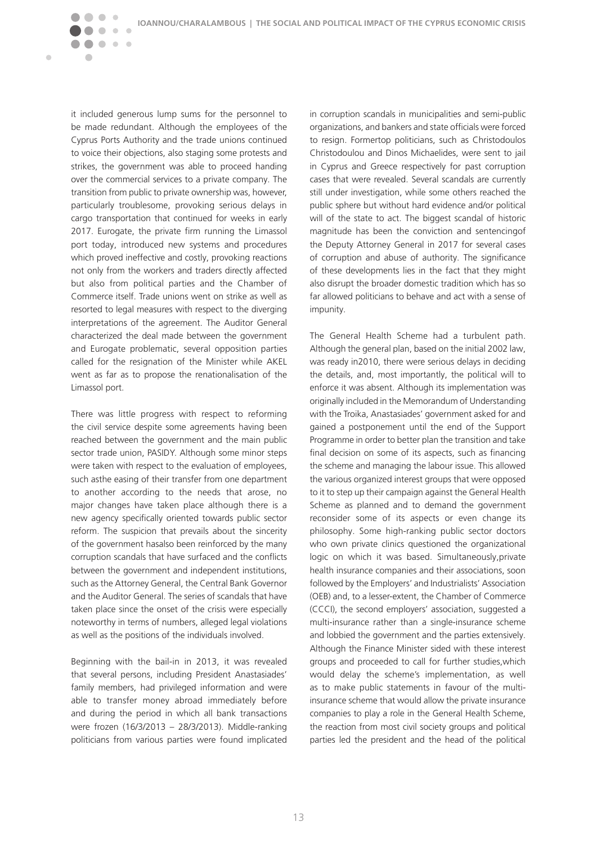it included generous lump sums for the personnel to be made redundant. Although the employees of the Cyprus Ports Authority and the trade unions continued to voice their objections, also staging some protests and strikes, the government was able to proceed handing over the commercial services to a private company. The transition from public to private ownership was, however, particularly troublesome, provoking serious delays in cargo transportation that continued for weeks in early 2017. Eurogate, the private firm running the Limassol port today, introduced new systems and procedures which proved ineffective and costly, provoking reactions not only from the workers and traders directly affected but also from political parties and the Chamber of Commerce itself. Trade unions went on strike as well as resorted to legal measures with respect to the diverging interpretations of the agreement. The Auditor General characterized the deal made between the government and Eurogate problematic, several opposition parties called for the resignation of the Minister while AKEL went as far as to propose the renationalisation of the Limassol port.

 $\sqrt{2}$  $\sqrt{2}$ 

 $\blacksquare$ 

 $\triangle$ 

 $\bullet\bullet\bullet$ 

There was little progress with respect to reforming the civil service despite some agreements having been reached between the government and the main public sector trade union, PASIDY. Although some minor steps were taken with respect to the evaluation of employees, such asthe easing of their transfer from one department to another according to the needs that arose, no major changes have taken place although there is a new agency specifically oriented towards public sector reform. The suspicion that prevails about the sincerity of the government hasalso been reinforced by the many corruption scandals that have surfaced and the conflicts between the government and independent institutions, such as the Attorney General, the Central Bank Governor and the Auditor General. The series of scandals that have taken place since the onset of the crisis were especially noteworthy in terms of numbers, alleged legal violations as well as the positions of the individuals involved.

Beginning with the bail-in in 2013, it was revealed that several persons, including President Anastasiades' family members, had privileged information and were able to transfer money abroad immediately before and during the period in which all bank transactions were frozen (16/3/2013 – 28/3/2013). Middle-ranking politicians from various parties were found implicated

in corruption scandals in municipalities and semi-public organizations, and bankers and state officials were forced to resign. Formertop politicians, such as Christodoulos Christodoulou and Dinos Michaelides, were sent to jail in Cyprus and Greece respectively for past corruption cases that were revealed. Several scandals are currently still under investigation, while some others reached the public sphere but without hard evidence and/or political will of the state to act. The biggest scandal of historic magnitude has been the conviction and sentencingof the Deputy Attorney General in 2017 for several cases of corruption and abuse of authority. The significance of these developments lies in the fact that they might also disrupt the broader domestic tradition which has so far allowed politicians to behave and act with a sense of impunity.

The General Health Scheme had a turbulent path. Although the general plan, based on the initial 2002 law, was ready in2010, there were serious delays in deciding the details, and, most importantly, the political will to enforce it was absent. Although its implementation was originally included in the Memorandum of Understanding with the Troika, Anastasiades' government asked for and gained a postponement until the end of the Support Programme in order to better plan the transition and take final decision on some of its aspects, such as financing the scheme and managing the labour issue. This allowed the various organized interest groups that were opposed to it to step up their campaign against the General Health Scheme as planned and to demand the government reconsider some of its aspects or even change its philosophy. Some high-ranking public sector doctors who own private clinics questioned the organizational logic on which it was based. Simultaneously,private health insurance companies and their associations, soon followed by the Employers' and Industrialists' Association (OEB) and, to a lesser-extent, the Chamber of Commerce (CCCI), the second employers' association, suggested a multi-insurance rather than a single-insurance scheme and lobbied the government and the parties extensively. Although the Finance Minister sided with these interest groups and proceeded to call for further studies,which would delay the scheme's implementation, as well as to make public statements in favour of the multiinsurance scheme that would allow the private insurance companies to play a role in the General Health Scheme, the reaction from most civil society groups and political parties led the president and the head of the political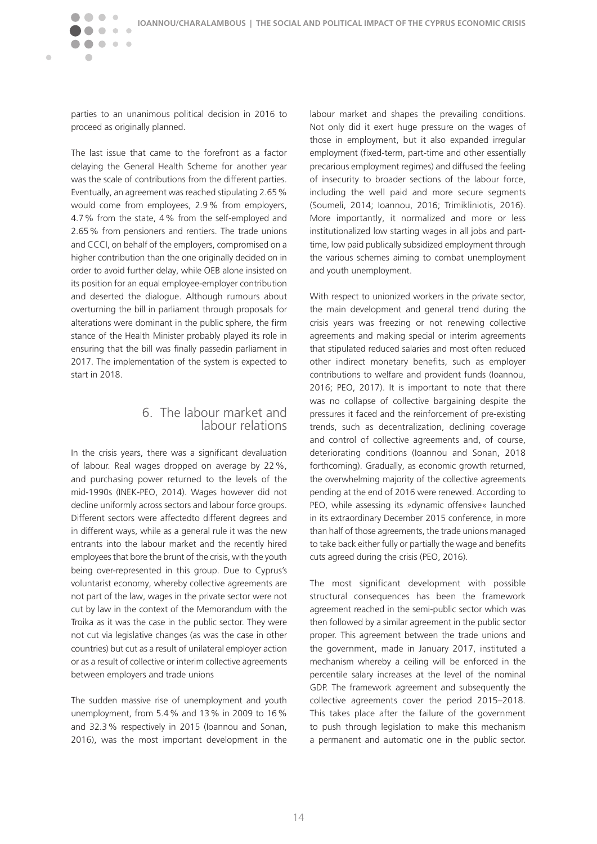<span id="page-14-0"></span> $\bullet\quad \bullet\quad \bullet$ 

 $\blacksquare$ 

 $\sqrt{2}$ 

 $\bullet\bullet$ 

parties to an unanimous political decision in 2016 to proceed as originally planned.

The last issue that came to the forefront as a factor delaying the General Health Scheme for another year was the scale of contributions from the different parties. Eventually, an agreement was reached stipulating 2.65% would come from employees, 2.9% from employers, 4.7% from the state, 4% from the self-employed and 2.65% from pensioners and rentiers. The trade unions and CCCI, on behalf of the employers, compromised on a higher contribution than the one originally decided on in order to avoid further delay, while OEB alone insisted on its position for an equal employee-employer contribution and deserted the dialogue. Although rumours about overturning the bill in parliament through proposals for alterations were dominant in the public sphere, the firm stance of the Health Minister probably played its role in ensuring that the bill was finally passedin parliament in 2017. The implementation of the system is expected to start in 2018.

### 6. The labour market and labour relations

In the crisis years, there was a significant devaluation of labour. Real wages dropped on average by 22%, and purchasing power returned to the levels of the mid-1990s (INEK-PEO, 2014). Wages however did not decline uniformly across sectors and labour force groups. Different sectors were affectedto different degrees and in different ways, while as a general rule it was the new entrants into the labour market and the recently hired employees that bore the brunt of the crisis, with the youth being over-represented in this group. Due to Cyprus's voluntarist economy, whereby collective agreements are not part of the law, wages in the private sector were not cut by law in the context of the Memorandum with the Troika as it was the case in the public sector. They were not cut via legislative changes (as was the case in other countries) but cut as a result of unilateral employer action or as a result of collective or interim collective agreements between employers and trade unions

The sudden massive rise of unemployment and youth unemployment, from 5.4% and 13% in 2009 to 16% and 32.3% respectively in 2015 (Ioannou and Sonan, 2016), was the most important development in the labour market and shapes the prevailing conditions. Not only did it exert huge pressure on the wages of those in employment, but it also expanded irregular employment (fixed-term, part-time and other essentially precarious employment regimes) and diffused the feeling of insecurity to broader sections of the labour force, including the well paid and more secure segments (Soumeli, 2014; Ioannou, 2016; Trimikliniotis, 2016). More importantly, it normalized and more or less institutionalized low starting wages in all jobs and parttime, low paid publically subsidized employment through the various schemes aiming to combat unemployment and youth unemployment.

With respect to unionized workers in the private sector, the main development and general trend during the crisis years was freezing or not renewing collective agreements and making special or interim agreements that stipulated reduced salaries and most often reduced other indirect monetary benefits, such as employer contributions to welfare and provident funds (Ioannou, 2016; PEO, 2017). It is important to note that there was no collapse of collective bargaining despite the pressures it faced and the reinforcement of pre-existing trends, such as decentralization, declining coverage and control of collective agreements and, of course, deteriorating conditions (Ioannou and Sonan, 2018 forthcoming). Gradually, as economic growth returned, the overwhelming majority of the collective agreements pending at the end of 2016 were renewed. According to PEO, while assessing its »dynamic offensive« launched in its extraordinary December 2015 conference, in more than half of those agreements, the trade unions managed to take back either fully or partially the wage and benefits cuts agreed during the crisis (PEO, 2016).

The most significant development with possible structural consequences has been the framework agreement reached in the semi-public sector which was then followed by a similar agreement in the public sector proper. This agreement between the trade unions and the government, made in January 2017, instituted a mechanism whereby a ceiling will be enforced in the percentile salary increases at the level of the nominal GDP. The framework agreement and subsequently the collective agreements cover the period 2015–2018. This takes place after the failure of the government to push through legislation to make this mechanism a permanent and automatic one in the public sector.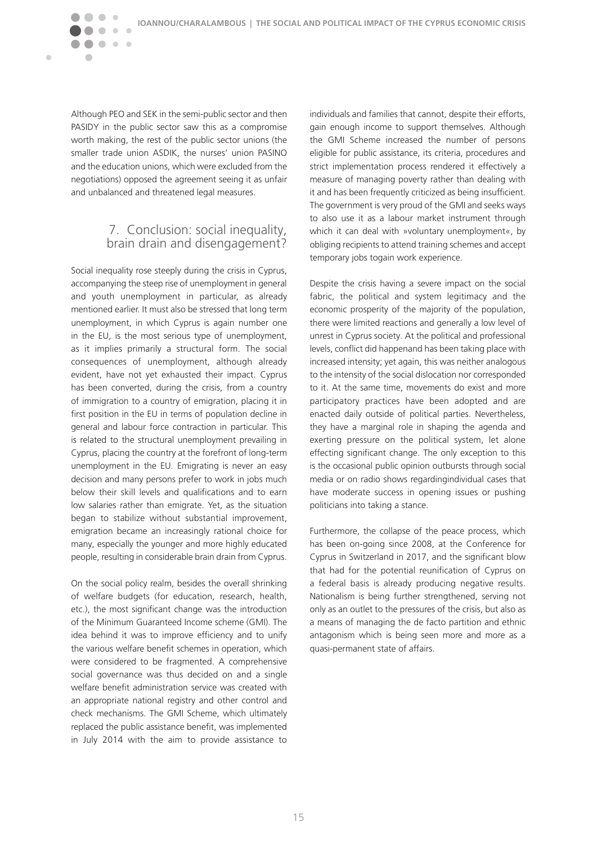Although PEO and SEK in the semi-public sector and then PASIDY in the public sector saw this as a compromise worth making, the rest of the public sector unions (the smaller trade union ASDIK, the nurses' union PASINO and the education unions, which were excluded from the negotiations) opposed the agreement seeing it as unfair and unbalanced and threatened legal measures.

 $\bullet\bullet$ 

 $\overline{a}$ 

<span id="page-15-0"></span> $\blacksquare$ 

 $\bullet\quad \bullet\quad \bullet$ 

#### 7. Conclusion: social inequality, brain drain and disengagement?

Social inequality rose steeply during the crisis in Cyprus, accompanying the steep rise of unemployment in general and youth unemployment in particular, as already mentioned earlier. It must also be stressed that long term unemployment, in which Cyprus is again number one in the EU, is the most serious type of unemployment, as it implies primarily a structural form. The social consequences of unemployment, although already evident, have not yet exhausted their impact. Cyprus has been converted, during the crisis, from a country of immigration to a country of emigration, placing it in first position in the EU in terms of population decline in general and labour force contraction in particular. This is related to the structural unemployment prevailing in Cyprus, placing the country at the forefront of long-term unemployment in the EU. Emigrating is never an easy decision and many persons prefer to work in jobs much below their skill levels and qualifications and to earn low salaries rather than emigrate. Yet, as the situation began to stabilize without substantial improvement, emigration became an increasingly rational choice for many, especially the younger and more highly educated people, resulting in considerable brain drain from Cyprus.

On the social policy realm, besides the overall shrinking of welfare budgets (for education, research, health, etc.), the most significant change was the introduction of the Minimum Guaranteed Income scheme (GMI). The idea behind it was to improve efficiency and to unify the various welfare benefit schemes in operation, which were considered to be fragmented. A comprehensive social governance was thus decided on and a single welfare benefit administration service was created with an appropriate national registry and other control and check mechanisms. The GMI Scheme, which ultimately replaced the public assistance benefit, was implemented in July 2014 with the aim to provide assistance to

individuals and families that cannot, despite their efforts, gain enough income to support themselves. Although the GMI Scheme increased the number of persons eligible for public assistance, its criteria, procedures and strict implementation process rendered it effectively a measure of managing poverty rather than dealing with it and has been frequently criticized as being insufficient. The government is very proud of the GMI and seeks ways to also use it as a labour market instrument through which it can deal with »voluntary unemployment«, by obliging recipients to attend training schemes and accept temporary jobs togain work experience.

Despite the crisis having a severe impact on the social fabric, the political and system legitimacy and the economic prosperity of the majority of the population, there were limited reactions and generally a low level of unrest in Cyprus society. At the political and professional levels, conflict did happenand has been taking place with increased intensity; yet again, this was neither analogous to the intensity of the social dislocation nor corresponded to it. At the same time, movements do exist and more participatory practices have been adopted and are enacted daily outside of political parties. Nevertheless, they have a marginal role in shaping the agenda and exerting pressure on the political system, let alone effecting significant change. The only exception to this is the occasional public opinion outbursts through social media or on radio shows regardingindividual cases that have moderate success in opening issues or pushing politicians into taking a stance.

Furthermore, the collapse of the peace process, which has been on-going since 2008, at the Conference for Cyprus in Switzerland in 2017, and the significant blow that had for the potential reunification of Cyprus on a federal basis is already producing negative results. Nationalism is being further strengthened, serving not only as an outlet to the pressures of the crisis, but also as a means of managing the de facto partition and ethnic antagonism which is being seen more and more as a quasi-permanent state of affairs.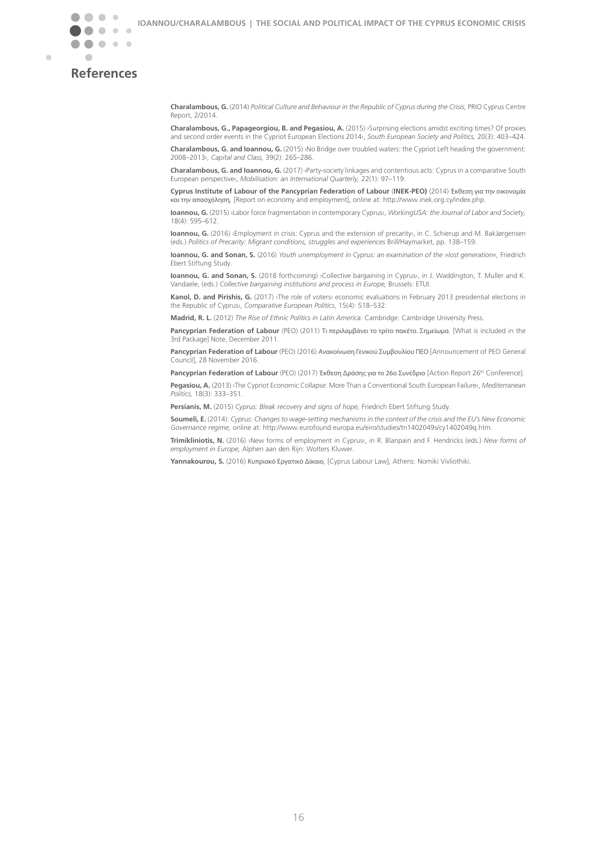<span id="page-16-0"></span>

Ċ

## **References**

**Charalambous, G.** (2014) *Political Culture and Behaviour in the Republic of Cyprus during the Crisis,* PRIO Cyprus Centre Report, 2/2014.

**Charalambous, G., Papageorgiou, B. and Pegasiou, A.** (2015) ›Surprising elections amidst exciting times? Of proxies and second order events in the Cypriot European Elections 2014‹, *South European Society and Politics,* 20(3): 403–424.

**Charalambous, G. and Ioannou, G.** (2015) ›No Bridge over troubled waters: the Cypriot Left heading the government: 2008–2013‹, *Capital and Class,* 39(2): 265–286.

**Charalambous, G. and Ioannou, G.** (2017) ›Party-society linkages and contentious acts: Cyprus in a comparative South European perspective‹, *Mobilisation: an International Quarterly,* 22(1): 97–119.

**Cyprus Institute of Labour of the Pancyprian Federation of Labour** (**INEK-PEO)** (2014) Έκθεση για την οικονομία και την απασχόληση*,* [Report on economy and employment], online at: http://www.inek.org.cy/index.php.

**Ioannou, G.** (2015) ›Labor force fragmentation in contemporary Cyprus‹, *WorkingUSA: the Journal of Labor and Society,* 18(4): 595–612.

**Ioannou, G.** (2016) ›Employment in crisis: Cyprus and the extension of precarity«, in C. Schierup and M. BakJørgensen (eds.) *Politics of Precarity: Migrant conditions, struggles and experiences* Brill/Haymarket, pp. 138–159.

**Ioannou, G. and Sonan, S.** (2016) *Youth unemployment in Cyprus: an examination of the »lost generation«,* Friedrich Ebert Stiftung Study.

**Ioannou, G. and Sonan, S.** (2018 forthcoming) >Collective bargaining in Cyprus‹, in J. Waddington, T. Muller and K. Vandaele, (eds.) *Collective bargaining institutions and process in Europe,* Brussels: ETUI.

**Kanol, D. and Pirishis, G.** (2017) ›The role of voters‹ economic evaluations in February 2013 presidential elections in the Republic of Cyprus‹, *[Comparative European Politics](https://link.springer.com/journal/41295)*, 15(4): 518–532.

**Madrid, R. L.** (2012) *The Rise of Ethnic Politics in Latin America*. Cambridge: Cambridge University Press.

**Pancyprian Federation of Labour** (PEO) (2011) Τι περιλαμβάνει το τρίτο πακέτο. Σημείωμα. [What is included in the 3rd Package] Note, December 2011.

**Pancyprian Federation of Labour** (PEO) (2016) Ανακοίνωση Γενικού Συμβουλίου ΠΕΟ [Announcement of PEO General Council], 28 November 2016.

Pancyprian Federation of Labour (PEO) (2017) Έκθεση Δράσης για το 26ο Συνέδριο [Action Report 26<sup>th</sup> Conference]. **Pegasiou, A.** (2013) ›The Cypriot Economic Collapse: More Than a Conventional South European Failure‹, *Mediterranean Politics,* 18(3): 333–351.

**Persianis, M.** (2015) *Cyprus: Bleak recovery and signs of hope,* Friedrich Ebert Stiftung Study.

**Soumeli, E.** (2014): *Cyprus: Changes to wage-setting mechanisms in the context of the crisis and the EU's New Economic Governance regime,* online at: http://www.eurofound.europa.eu/eiro/studies/tn1402049s/cy1402049q.htm.

**Trimikliniotis, N.** (2016) ›New forms of employment in Cyprus‹, in R. Blanpain and F. Hendricks (eds.) *New forms of employment in Europe,* Alphen aan den Rijn: Wolters Kluwer.

**Yannakourou, S.** (2016) Κυπριακό Εργατικό Δίκαιο*,* [Cyprus Labour Law], Athens: Nomiki Vivliothiki.